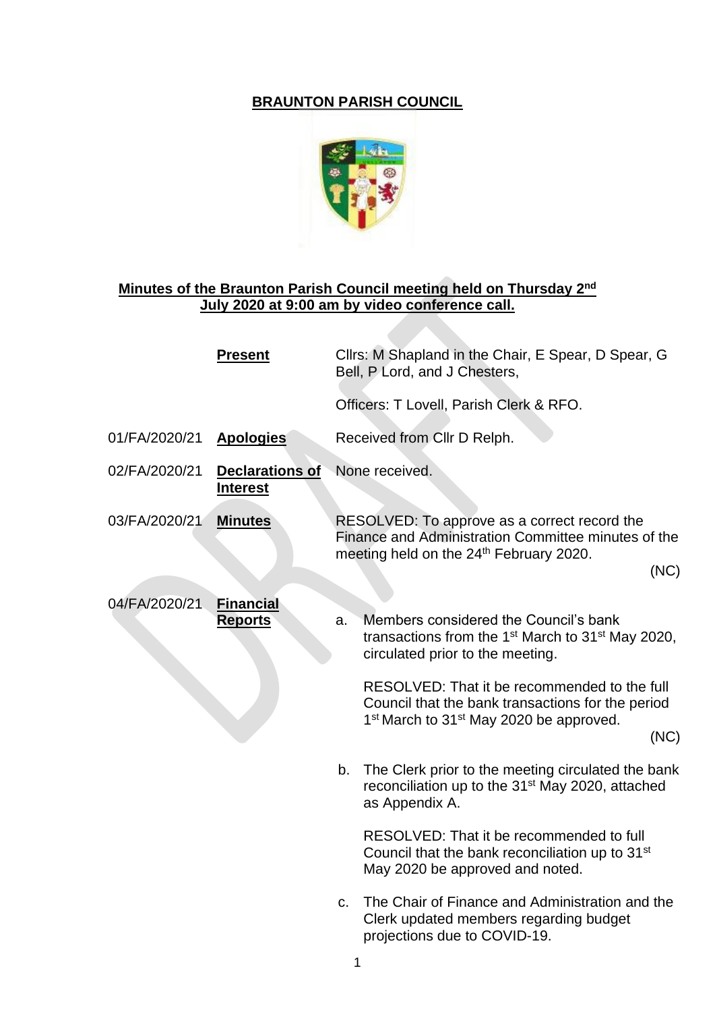## **BRAUNTON PARISH COUNCIL**



## **Minutes of the Braunton Parish Council meeting held on Thursday 2nd July 2020 at 9:00 am by video conference call.**

|               | <b>Present</b>                            |                | Cllrs: M Shapland in the Chair, E Spear, D Spear, G<br>Bell, P Lord, and J Chesters,                                                                                         |
|---------------|-------------------------------------------|----------------|------------------------------------------------------------------------------------------------------------------------------------------------------------------------------|
|               |                                           |                | Officers: T Lovell, Parish Clerk & RFO.                                                                                                                                      |
| 01/FA/2020/21 | <b>Apologies</b>                          |                | Received from Cllr D Relph.                                                                                                                                                  |
| 02/FA/2020/21 | <b>Declarations of</b><br><b>Interest</b> | None received. |                                                                                                                                                                              |
| 03/FA/2020/21 | <b>Minutes</b>                            |                | RESOLVED: To approve as a correct record the<br>Finance and Administration Committee minutes of the<br>meeting held on the 24 <sup>th</sup> February 2020.<br>(NC)           |
| 04/FA/2020/21 | <b>Financial</b><br><b>Reports</b>        | a.             | Members considered the Council's bank<br>transactions from the $1st$ March to 31 <sup>st</sup> May 2020,<br>circulated prior to the meeting.                                 |
|               |                                           |                | RESOLVED: That it be recommended to the full<br>Council that the bank transactions for the period<br>1 <sup>st</sup> March to 31 <sup>st</sup> May 2020 be approved.<br>(NC) |
|               |                                           | b.             | The Clerk prior to the meeting circulated the bank<br>reconciliation up to the 31 <sup>st</sup> May 2020, attached<br>as Appendix A.                                         |
|               |                                           |                | RESOLVED: That it be recommended to full<br>Council that the bank reconciliation up to 31 <sup>st</sup><br>May 2020 be approved and noted.                                   |
|               |                                           | C.             | The Chair of Finance and Administration and the<br>Clerk updated members regarding budget<br>projections due to COVID-19.                                                    |